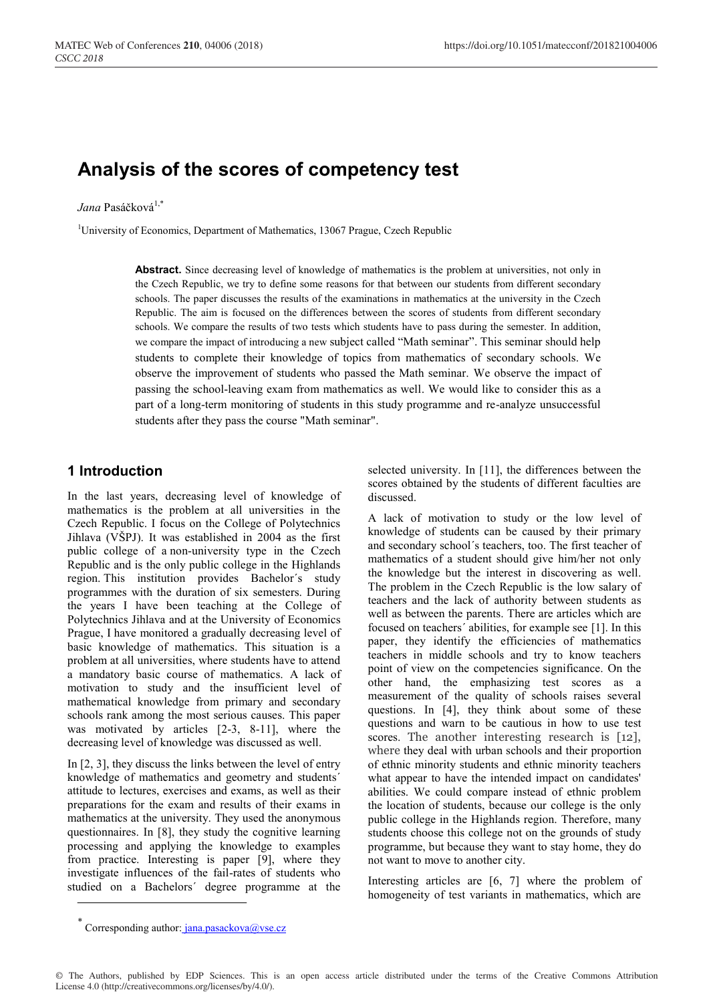# **Analysis of the scores of competency test**

#### *Jana* Pasáčková<sup>1,\*</sup>

<sup>1</sup>University of Economics, Department of Mathematics, 13067 Prague, Czech Republic

Abstract. Since decreasing level of knowledge of mathematics is the problem at universities, not only in the Czech Republic, we try to define some reasons for that between our students from different secondary schools. The paper discusses the results of the examinations in mathematics at the university in the Czech Republic. The aim is focused on the differences between the scores of students from different secondary schools. We compare the results of two tests which students have to pass during the semester. In addition, we compare the impact of introducing a new subject called "Math seminar". This seminar should help students to complete their knowledge of topics from mathematics of secondary schools. We observe the improvement of students who passed the Math seminar. We observe the impact of passing the school-leaving exam from mathematics as well. We would like to consider this as a part of a long-term monitoring of students in this study programme and re-analyze unsuccessful students after they pass the course "Math seminar".

#### **1 Introduction**

In the last years, decreasing level of knowledge of mathematics is the problem at all universities in the Czech Republic. I focus on the College of Polytechnics Jihlava (VŠPJ). It was established in 2004 as the first public college of a non-university type in the Czech Republic and is the only public college in the Highlands region. This institution provides Bachelor´s study programmes with the duration of six semesters. During the years I have been teaching at the College of Polytechnics Jihlava and at the University of Economics Prague, I have monitored a gradually decreasing level of basic knowledge of mathematics. This situation is a problem at all universities, where students have to attend a mandatory basic course of mathematics. A lack of motivation to study and the insufficient level of mathematical knowledge from primary and secondary schools rank among the most serious causes. This paper was motivated by articles [2-3, 8-11], where the decreasing level of knowledge was discussed as well.

In [2, 3], they discuss the links between the level of entry knowledge of mathematics and geometry and students´ attitude to lectures, exercises and exams, as well as their preparations for the exam and results of their exams in mathematics at the university. They used the anonymous questionnaires. In [8], they study the cognitive learning processing and applying the knowledge to examples from practice. Interesting is paper [9], where they investigate influences of the fail-rates of students who studied on a Bachelors´ degree programme at the selected university. In [11], the differences between the scores obtained by the students of different faculties are discussed.

A lack of motivation to study or the low level of knowledge of students can be caused by their primary and secondary school´s teachers, too. The first teacher of mathematics of a student should give him/her not only the knowledge but the interest in discovering as well. The problem in the Czech Republic is the low salary of teachers and the lack of authority between students as well as between the parents. There are articles which are focused on teachers´ abilities, for example see [1]. In this paper, they identify the efficiencies of mathematics teachers in middle schools and try to know teachers point of view on the competencies significance. On the other hand, the emphasizing test scores as a measurement of the quality of schools raises several questions. In [4], they think about some of these questions and warn to be cautious in how to use test scores. The another interesting research is [12], where they deal with urban schools and their proportion of ethnic minority students and ethnic minority teachers what appear to have the intended impact on candidates' abilities. We could compare instead of ethnic problem the location of students, because our college is the only public college in the Highlands region. Therefore, many students choose this college not on the grounds of study programme, but because they want to stay home, they do not want to move to another city.

Interesting articles are [6, 7] where the problem of homogeneity of test variants in mathematics, which are

© The Authors, published by EDP Sciences. This is an open access article distributed under the terms of the Creative Commons Attribution License 4.0 (http://creativecommons.org/licenses/by/4.0/).

Corresponding author:  $jana.pasackova@vse.cz$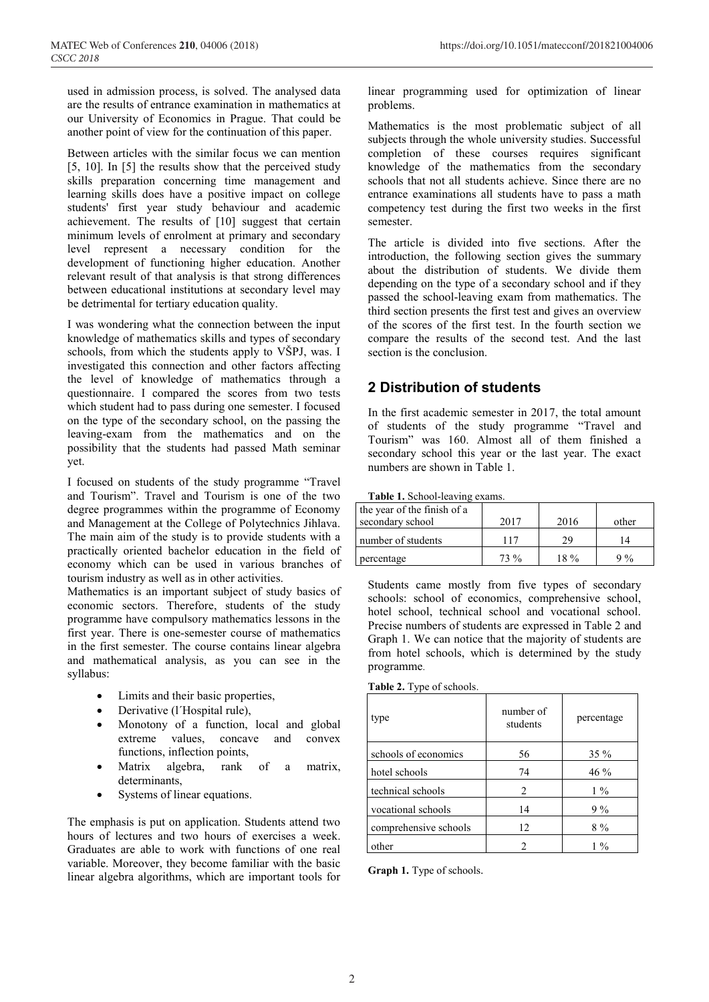used in admission process, is solved. The analysed data are the results of entrance examination in mathematics at our University of Economics in Prague. That could be another point of view for the continuation of this paper.

Between articles with the similar focus we can mention [5, 10]. In [5] the results show that the perceived study skills preparation concerning time management and learning skills does have a positive impact on college students' first year study behaviour and academic achievement. The results of [10] suggest that certain minimum levels of enrolment at primary and secondary level represent a necessary condition for the development of functioning higher education. Another relevant result of that analysis is that strong differences between educational institutions at secondary level may be detrimental for tertiary education quality.

I was wondering what the connection between the input knowledge of mathematics skills and types of secondary schools, from which the students apply to VŠPJ, was. I investigated this connection and other factors affecting the level of knowledge of mathematics through a questionnaire. I compared the scores from two tests which student had to pass during one semester. I focused on the type of the secondary school, on the passing the leaving-exam from the mathematics and on the possibility that the students had passed Math seminar yet.

I focused on students of the study programme "Travel and Tourism". Travel and Tourism is one of the two degree programmes within the programme of Economy and Management at the College of Polytechnics Jihlava. The main aim of the study is to provide students with a practically oriented bachelor education in the field of economy which can be used in various branches of tourism industry as well as in other activities.

Mathematics is an important subject of study basics of economic sectors. Therefore, students of the study programme have compulsory mathematics lessons in the first year. There is one-semester course of mathematics in the first semester. The course contains linear algebra and mathematical analysis, as you can see in the syllabus:

- Limits and their basic properties,
- Derivative (l´Hospital rule),
- Monotony of a function, local and global extreme values, concave and convex functions, inflection points,
- Matrix algebra, rank of a matrix, determinants,
- Systems of linear equations.

The emphasis is put on application. Students attend two hours of lectures and two hours of exercises a week. Graduates are able to work with functions of one real variable. Moreover, they become familiar with the basic linear algebra algorithms, which are important tools for

linear programming used for optimization of linear problems.

Mathematics is the most problematic subject of all subjects through the whole university studies. Successful completion of these courses requires significant knowledge of the mathematics from the secondary schools that not all students achieve. Since there are no entrance examinations all students have to pass a math competency test during the first two weeks in the first semester.

The article is divided into five sections. After the introduction, the following section gives the summary about the distribution of students. We divide them depending on the type of a secondary school and if they passed the school-leaving exam from mathematics. The third section presents the first test and gives an overview of the scores of the first test. In the fourth section we compare the results of the second test. And the last section is the conclusion.

## **2 Distribution of students**

In the first academic semester in 2017, the total amount of students of the study programme "Travel and Tourism" was 160. Almost all of them finished a secondary school this year or the last year. The exact numbers are shown in Table 1.

|  |  | Table 1. School-leaving exams. |  |
|--|--|--------------------------------|--|
|  |  |                                |  |

| the year of the finish of a |        |        |       |
|-----------------------------|--------|--------|-------|
| secondary school            | 2017   | 2016   | other |
| number of students          | 117    | 29     |       |
| percentage                  | $73\%$ | $18\%$ | $9\%$ |

Students came mostly from five types of secondary schools: school of economics, comprehensive school, hotel school, technical school and vocational school. Precise numbers of students are expressed in Table 2 and Graph 1. We can notice that the majority of students are from hotel schools, which is determined by the study programme.

**Table 2.** Type of schools.

| type                  | number of<br>students | percentage |
|-----------------------|-----------------------|------------|
| schools of economics  | 56                    | $35\%$     |
| hotel schools         | 74                    | 46 %       |
| technical schools     | 2                     | $1\%$      |
| vocational schools    | 14                    | 9%         |
| comprehensive schools | 12                    | $8\%$      |
| other                 | 2                     | $1\%$      |

**Graph 1.** Type of schools.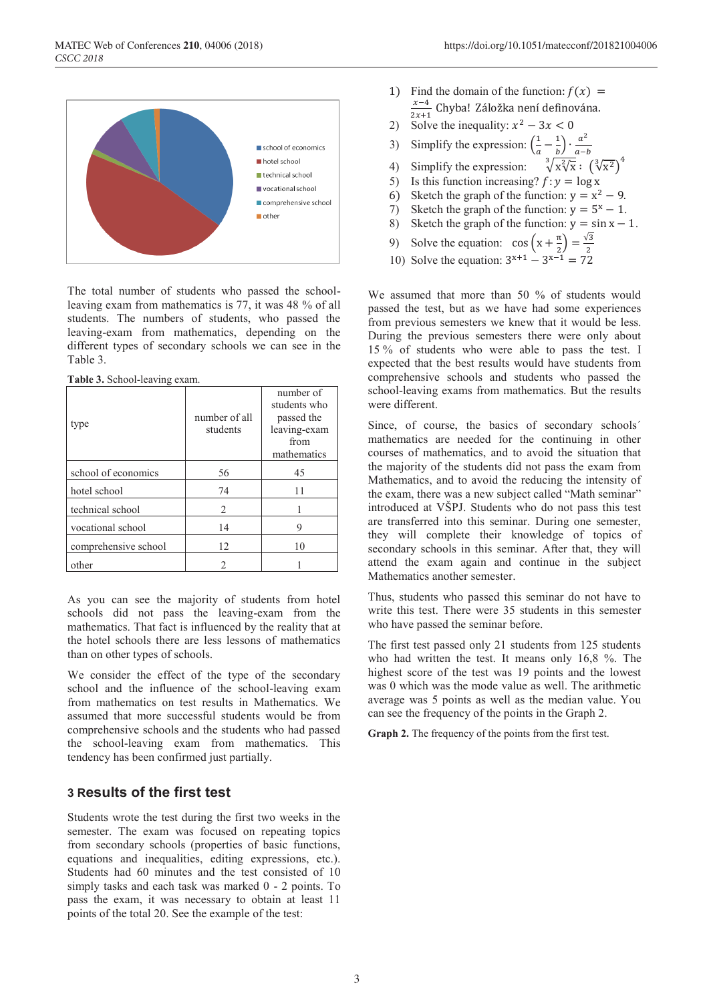

The total number of students who passed the schoolleaving exam from mathematics is 77, it was 48 % of all students. The numbers of students, who passed the leaving-exam from mathematics, depending on the different types of secondary schools we can see in the Table 3.

|  | Table 3. School-leaving exam. |  |
|--|-------------------------------|--|

| type                 | number of all<br>students | number of<br>students who<br>passed the<br>leaving-exam<br>from<br>mathematics |
|----------------------|---------------------------|--------------------------------------------------------------------------------|
| school of economics  | 56                        | 45                                                                             |
| hotel school         | 74                        | 11                                                                             |
| technical school     | 2                         |                                                                                |
| vocational school    | 14                        | 9                                                                              |
| comprehensive school | 12                        | 10                                                                             |
| other                | 2                         |                                                                                |

As you can see the majority of students from hotel schools did not pass the leaving-exam from the mathematics. That fact is influenced by the reality that at the hotel schools there are less lessons of mathematics than on other types of schools.

We consider the effect of the type of the secondary school and the influence of the school-leaving exam from mathematics on test results in Mathematics. We assumed that more successful students would be from comprehensive schools and the students who had passed the school-leaving exam from mathematics. This tendency has been confirmed just partially.

#### **3 Results of the first test**

Students wrote the test during the first two weeks in the semester. The exam was focused on repeating topics from secondary schools (properties of basic functions, equations and inequalities, editing expressions, etc.). Students had 60 minutes and the test consisted of 10 simply tasks and each task was marked 0 - 2 points. To pass the exam, it was necessary to obtain at least 11 points of the total 20. See the example of the test:

- 1) Find the domain of the function:  $f(x) = \frac{x-4}{2x+1}$  Chyba! Záložka není definována.
- 2) Solve the inequality: x
- 3) Simplify the expression:  $\left(\frac{1}{2}\right)$  $\frac{a}{a} - \frac{b}{b}$
- 4) Simplify the expression:  $\sqrt[3]{x\sqrt[2]{x}}$  :  $(\sqrt[3]{x^2})^4$
- 5) Is this function increasing?  $f: y = \log x$
- 6) Sketch the graph of the function:  $y = x^2 9$ .
- 7) Sketch the graph of the function:  $y = 5^x 1$ .
- 8) Sketch the graph of the function:  $y = \sin x 1$ .
- 
- 9) Solve the equation:  $\cos (x + \frac{\pi}{2}) = \frac{\sqrt{2}}{2}$ <br>10) Solve the equation:  $3^{x+1} 3^{x-1} = 72$

We assumed that more than 50 % of students would passed the test, but as we have had some experiences from previous semesters we knew that it would be less. During the previous semesters there were only about 15 % of students who were able to pass the test. I expected that the best results would have students from comprehensive schools and students who passed the school-leaving exams from mathematics. But the results were different.

Since, of course, the basics of secondary schools´ mathematics are needed for the continuing in other courses of mathematics, and to avoid the situation that the majority of the students did not pass the exam from Mathematics, and to avoid the reducing the intensity of the exam, there was a new subject called "Math seminar" introduced at VŠPJ. Students who do not pass this test are transferred into this seminar. During one semester, they will complete their knowledge of topics of secondary schools in this seminar. After that, they will attend the exam again and continue in the subject Mathematics another semester.

Thus, students who passed this seminar do not have to write this test. There were 35 students in this semester who have passed the seminar before.

The first test passed only 21 students from 125 students who had written the test. It means only 16,8 %. The highest score of the test was 19 points and the lowest was 0 which was the mode value as well. The arithmetic average was 5 points as well as the median value. You can see the frequency of the points in the Graph 2.

**Graph 2.** The frequency of the points from the first test.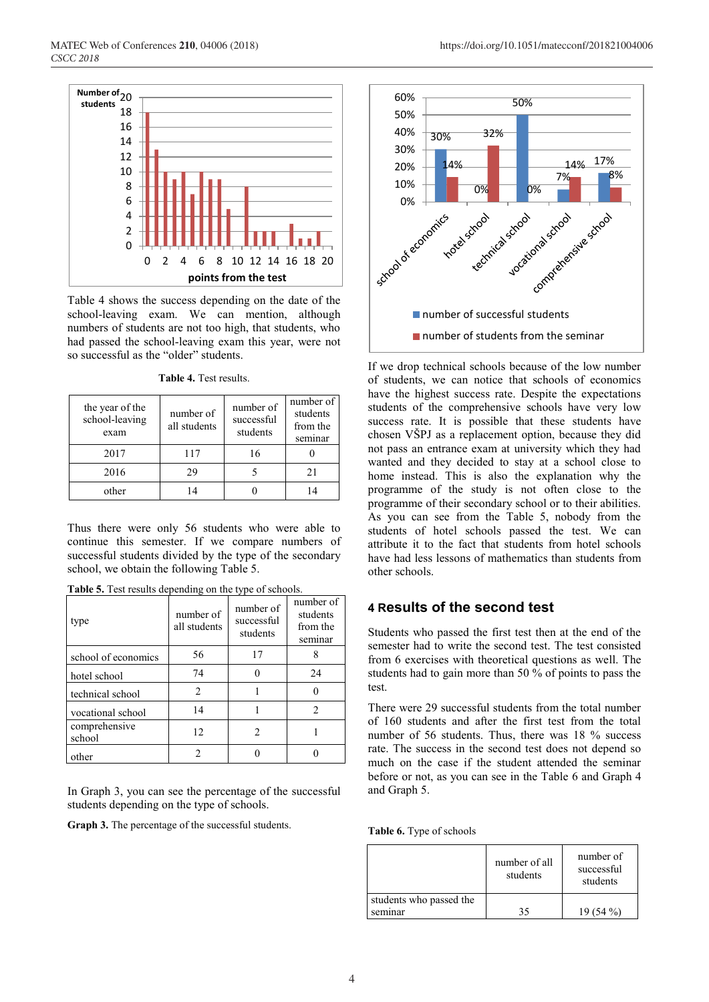

Table 4 shows the success depending on the date of the school-leaving exam. We can mention, although numbers of students are not too high, that students, who had passed the school-leaving exam this year, were not so successful as the "older" students.

**Table 4.** Test results.

| the year of the<br>school-leaving<br>exam | number of<br>all students | number of<br>successful<br>students | number of<br>students<br>from the<br>seminar |
|-------------------------------------------|---------------------------|-------------------------------------|----------------------------------------------|
| 2017                                      | 117                       | 16                                  |                                              |
| 2016                                      | 29                        |                                     | 21                                           |
| other                                     |                           |                                     |                                              |

Thus there were only 56 students who were able to continue this semester. If we compare numbers of successful students divided by the type of the secondary school, we obtain the following Table 5.

| Table 5. Test results depending on the type of schools. |  |
|---------------------------------------------------------|--|
|---------------------------------------------------------|--|

| type                    | number of<br>all students | number of<br>successful<br>students | number of<br>students<br>from the<br>seminar |
|-------------------------|---------------------------|-------------------------------------|----------------------------------------------|
| school of economics     | 56                        | 17                                  | 8                                            |
| hotel school            | 74                        |                                     | 24                                           |
| technical school        | 2                         |                                     |                                              |
| vocational school       | 14                        |                                     | 2                                            |
| comprehensive<br>school | 12.                       |                                     |                                              |
| other                   |                           |                                     |                                              |

In Graph 3, you can see the percentage of the successful students depending on the type of schools.

**Graph 3.** The percentage of the successful students.



If we drop technical schools because of the low number of students, we can notice that schools of economics have the highest success rate. Despite the expectations students of the comprehensive schools have very low success rate. It is possible that these students have chosen VŠPJ as a replacement option, because they did not pass an entrance exam at university which they had wanted and they decided to stay at a school close to home instead. This is also the explanation why the programme of the study is not often close to the programme of their secondary school or to their abilities. As you can see from the Table 5, nobody from the students of hotel schools passed the test. We can attribute it to the fact that students from hotel schools have had less lessons of mathematics than students from other schools.

#### **4 Results of the second test**

Students who passed the first test then at the end of the semester had to write the second test. The test consisted from 6 exercises with theoretical questions as well. The students had to gain more than 50 % of points to pass the test.

There were 29 successful students from the total number of 160 students and after the first test from the total number of 56 students. Thus, there was 18 % success rate. The success in the second test does not depend so much on the case if the student attended the seminar before or not, as you can see in the Table 6 and Graph 4 and Graph 5.

**Table 6.** Type of schools

|                         | number of all<br>students | number of<br>successful<br>students |  |
|-------------------------|---------------------------|-------------------------------------|--|
| students who passed the |                           |                                     |  |
| seminar                 |                           | 19 $(54\%$                          |  |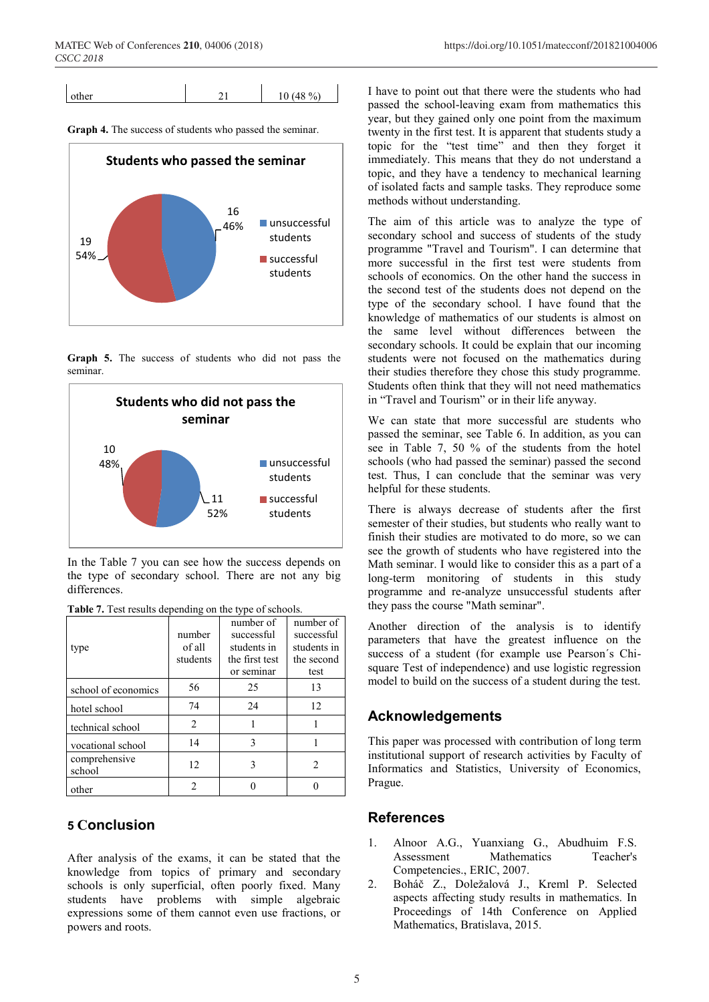| other | $8\%$<br>$\cdot$ |
|-------|------------------|
|       |                  |

**Graph 4.** The success of students who passed the seminar.



**Graph 5.** The success of students who did not pass the seminar.



In the Table 7 you can see how the success depends on the type of secondary school. There are not any big differences.

| <b>Table 7.</b> Test results depending on the type of schools. |                 |  |
|----------------------------------------------------------------|-----------------|--|
|                                                                | number of I nur |  |

| type                    | number<br>of all<br>students | number of<br>successful<br>students in<br>the first test | number of<br>successful<br>students in<br>the second |
|-------------------------|------------------------------|----------------------------------------------------------|------------------------------------------------------|
|                         |                              | or seminar                                               | test                                                 |
| school of economics     | 56                           | 25                                                       | 13                                                   |
| hotel school            | 74                           | 24                                                       | 12                                                   |
| technical school        | 2                            |                                                          |                                                      |
| vocational school       | 14                           | 3                                                        |                                                      |
| comprehensive<br>school | 12                           | ٦                                                        | 2                                                    |
| other                   |                              |                                                          |                                                      |

### **5 Conclusion**

After analysis of the exams, it can be stated that the knowledge from topics of primary and secondary schools is only superficial, often poorly fixed. Many students have problems with simple algebraic expressions some of them cannot even use fractions, or powers and roots.

I have to point out that there were the students who had passed the school-leaving exam from mathematics this year, but they gained only one point from the maximum twenty in the first test. It is apparent that students study a topic for the "test time" and then they forget it immediately. This means that they do not understand a topic, and they have a tendency to mechanical learning of isolated facts and sample tasks. They reproduce some methods without understanding.

The aim of this article was to analyze the type of secondary school and success of students of the study programme "Travel and Tourism". I can determine that more successful in the first test were students from schools of economics. On the other hand the success in the second test of the students does not depend on the type of the secondary school. I have found that the knowledge of mathematics of our students is almost on the same level without differences between the secondary schools. It could be explain that our incoming students were not focused on the mathematics during their studies therefore they chose this study programme. Students often think that they will not need mathematics in "Travel and Tourism" or in their life anyway.

We can state that more successful are students who passed the seminar, see Table 6. In addition, as you can see in Table 7, 50 % of the students from the hotel schools (who had passed the seminar) passed the second test. Thus, I can conclude that the seminar was very helpful for these students.

There is always decrease of students after the first semester of their studies, but students who really want to finish their studies are motivated to do more, so we can see the growth of students who have registered into the Math seminar. I would like to consider this as a part of a long-term monitoring of students in this study programme and re-analyze unsuccessful students after they pass the course "Math seminar".

Another direction of the analysis is to identify parameters that have the greatest influence on the success of a student (for example use Pearson´s Chisquare Test of independence) and use logistic regression model to build on the success of a student during the test.

### **Acknowledgements**

This paper was processed with contribution of long term institutional support of research activities by Faculty of Informatics and Statistics, University of Economics, Prague.

### **References**

- 1. Alnoor A.G., Yuanxiang G., Abudhuim F.S. Assessment Mathematics Teacher's Competencies., ERIC, 2007.
- 2. Boháč Z., Doležalová J., Kreml P. Selected aspects affecting study results in mathematics. In Proceedings of 14th Conference on Applied Mathematics, Bratislava, 2015.